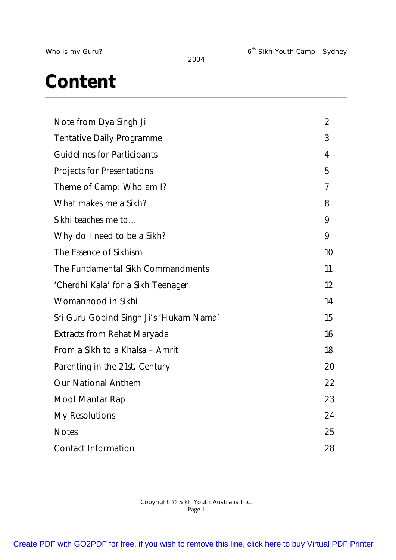## **Content**

| Note from Dya Singh Ji                  | $\overline{2}$ |
|-----------------------------------------|----------------|
| Tentative Daily Programme               | 3              |
| <b>Guidelines for Participants</b>      | 4              |
| Projects for Presentations              | 5              |
| Theme of Camp: Who am I?                | 7              |
| What makes me a Sikh?                   | 8              |
| Sikhi teaches me to                     | 9              |
| Why do I need to be a Sikh?             | 9              |
| The Essence of Sikhism                  | 10             |
| The Fundamental Sikh Commandments       | 11             |
| 'Cherdhi Kala' for a Sikh Teenager      | 12             |
| Womanhood in Sikhi                      | 14             |
| Sri Guru Gobind Singh Ji's 'Hukam Nama' | 15             |
| Extracts from Rehat Maryada             | 16             |
| From a Sikh to a Khalsa - Amrit         | 18             |
| Parenting in the 21st. Century          | 20             |
| Our National Anthem                     | 22             |
| Mool Mantar Rap                         | 23             |
| My Resolutions                          | 24             |
| <b>Notes</b>                            | 25             |
| Contact Information                     | 28             |

Copyright © Sikh Youth Australia Inc. Page 1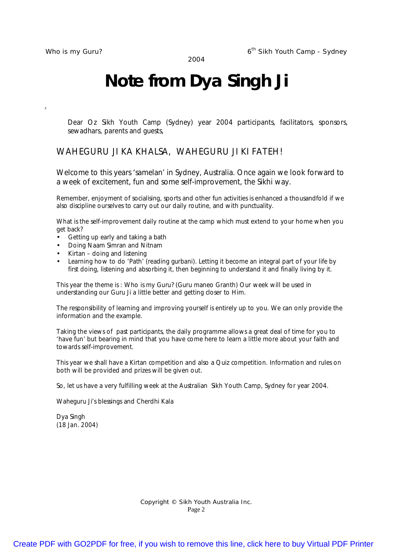.

*2004*

## **Note from Dya Singh Ji**

Dear Oz Sikh Youth Camp (Sydney) year 2004 participants, facilitators, sponsors, sewadhars, parents and guests,

#### WAHEGURU JI KA KHALSA, WAHEGURU JI KI FATEH!

Welcome to this years 'samelan' in Sydney, Australia. Once again we look forward to a week of excitement, fun and some self-improvement, the Sikhi way.

Remember, enjoyment of socialising, sports and other fun activities is enhanced a thousandfold if we also discipline ourselves to carry out our daily routine, and with punctuality.

What is the self-improvement daily routine at the camp which must extend to your home when you get back?

- Getting up early and taking a bath
- Doing Naam Simran and Nitnam
- Kirtan doing and listening
- Learning how to do 'Path' (reading gurbani). Letting it become an integral part of your life by first doing, listening and absorbing it, then beginning to understand it and finally living by it.

This year the theme is : Who is my Guru? (Guru maneo Granth) Our week will be used in understanding our Guru Ji a little better and getting closer to Him.

The responsibility of learning and improving yourself is entirely up to you. We can only provide the information and the example.

Taking the views of past participants, the daily programme allows a great deal of time for you to 'have fun' but bearing in mind that you have come here to learn a little more about your faith and towards self-improvement.

This year we shall have a Kirtan competition and also a Quiz competition. Information and rules on both will be provided and prizes will be given out.

So, let us have a very fulfilling week at the Australian Sikh Youth Camp, Sydney for year 2004.

Waheguru Ji's blessings and Cherdhi Kala

Dya Singh *(18 Jan. 2004)*

> Copyright © Sikh Youth Australia Inc. Page 2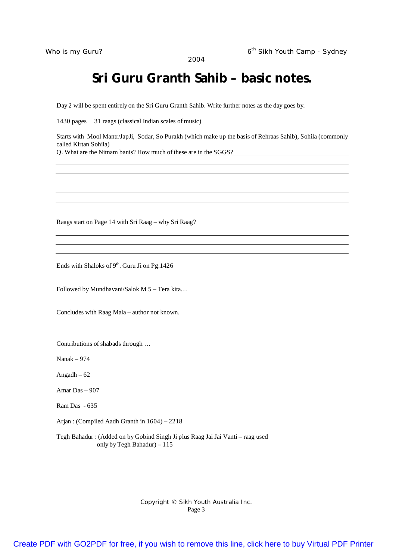## **Sri Guru Granth Sahib – basic notes.**

Day 2 will be spent entirely on the Sri Guru Granth Sahib. Write further notes as the day goes by.

1430 pages 31 raags (classical Indian scales of music)

Starts with Mool Mantr/JapJi, Sodar, So Purakh (which make up the basis of Rehraas Sahib), Sohila (commonly called Kirtan Sohila)

Q. What are the Nitnam banis? How much of these are in the SGGS?

Raags start on Page 14 with Sri Raag – why Sri Raag?

Ends with Shaloks of 9<sup>th</sup>. Guru Ji on Pg.1426

Followed by Mundhavani/Salok M 5 – Tera kita…

Concludes with Raag Mala – author not known.

Contributions of shabads through …

Nanak – 974

Angadh – 62

Amar Das – 907

Ram Das - 635

Arjan : (Compiled Aadh Granth in 1604) – 2218

Tegh Bahadur : (Added on by Gobind Singh Ji plus Raag Jai Jai Vanti – raag used only by Tegh Bahadur) – 115

> Copyright © Sikh Youth Australia Inc. Page 3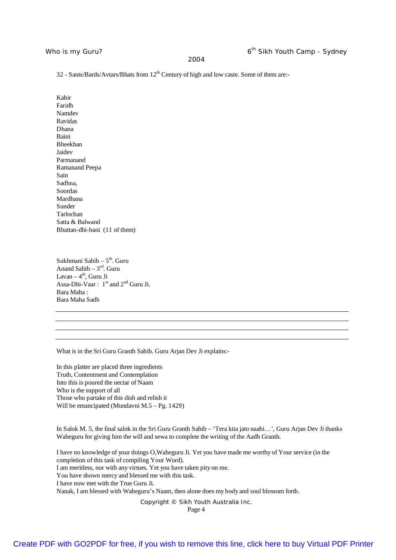*Who is my Guru?* 

*th Sikh Youth Camp - Sydney*

*2004*

32 - Sants/Bards/Avtars/Bhats from 12<sup>th</sup> Century of high and low caste. Some of them are:-

Kabir Faridh Namdev Ravidas Dhana Baini Bheekhan Jaidev Parmanand Ramanand Peepa Sain Sadhna, Soordas Mardhana Sunder Tarlochan Satta & Balwand Bhattan-dhi-bani (11 of them)

Sukhmani Sahib – 5<sup>th</sup>. Guru Anand Sahib  $-3<sup>rd</sup>$ . Guru Lavan – 4<sup>th</sup>, Guru Ji Assa-Dhi-Vaar : 1<sup>st</sup> and 2<sup>nd</sup> Guru Ji. Bara Maha : Bara Maha Sadh

What is in the Sri Guru Granth Sahib. Guru Arjan Dev Ji explains:-

In this platter are placed three ingredients Truth, Contentment and Contemplation Into this is poured the nectar of Naam Who is the support of all Those who partake of this dish and relish it Will be emancipated (Mundavni M.5 – Pg. 1429)

In Salok M. 5, the final salok in the Sri Guru Granth Sahib – 'Tera kita jato naahi…', Guru Arjan Dev Ji thanks Waheguru for giving him the will and sewa to complete the writing of the Aadh Granth.

I have no knowledge of your doings O,Waheguru Ji. Yet you have made me worthy of Your service (in the completion of this task of compiling Your Word).

I am meritless, nor with any virtues. Yet you have taken pity on me.

You have shown mercy and blessed me with this task.

I have now met with the True Guru Ji.

Nanak, I am blessed with Waheguru's Naam, then alone does my body and soul blossom forth.

Copyright © Sikh Youth Australia Inc.

Page 4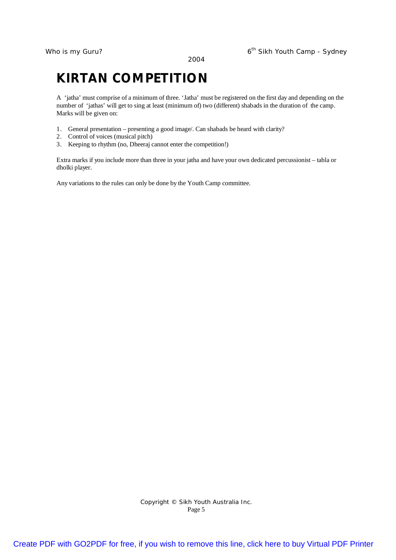## **KIRTAN COMPETITION**

A 'jatha' must comprise of a minimum of three. 'Jatha' must be registered on the first day and depending on the number of 'jathas' will get to sing at least (minimum of) two (different) shabads in the duration of the camp. Marks will be given on:

- 1. General presentation presenting a good image/. Can shabads be heard with clarity?
- 2. Control of voices (musical pitch)
- 3. Keeping to rhythm (no, Dheeraj cannot enter the competition!)

Extra marks if you include more than three in your jatha and have your own dedicated percussionist – tabla or dholki player.

Any variations to the rules can only be done by the Youth Camp committee.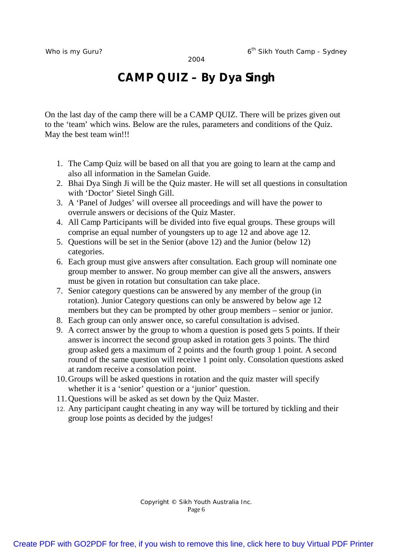*th Sikh Youth Camp - Sydney*

*2004*

## **CAMP QUIZ – By Dya Singh**

On the last day of the camp there will be a CAMP QUIZ. There will be prizes given out to the 'team' which wins. Below are the rules, parameters and conditions of the Quiz. May the best team win!!!

- 1. The Camp Quiz will be based on all that you are going to learn at the camp and also all information in the Samelan Guide.
- 2. Bhai Dya Singh Ji will be the Quiz master. He will set all questions in consultation with 'Doctor' Sietel Singh Gill.
- 3. A 'Panel of Judges' will oversee all proceedings and will have the power to overrule answers or decisions of the Quiz Master.
- 4. All Camp Participants will be divided into five equal groups. These groups will comprise an equal number of youngsters up to age 12 and above age 12.
- 5. Questions will be set in the Senior (above 12) and the Junior (below 12) categories.
- 6. Each group must give answers after consultation. Each group will nominate one group member to answer. No group member can give all the answers, answers must be given in rotation but consultation can take place.
- 7. Senior category questions can be answered by any member of the group (in rotation). Junior Category questions can only be answered by below age 12 members but they can be prompted by other group members – senior or junior.
- 8. Each group can only answer once, so careful consultation is advised.
- 9. A correct answer by the group to whom a question is posed gets 5 points. If their answer is incorrect the second group asked in rotation gets 3 points. The third group asked gets a maximum of 2 points and the fourth group 1 point. A second round of the same question will receive 1 point only. Consolation questions asked at random receive a consolation point.
- 10.Groups will be asked questions in rotation and the quiz master will specify whether it is a 'senior' question or a 'junior' question.
- 11.Questions will be asked as set down by the Quiz Master.
- 12. Any participant caught cheating in any way will be tortured by tickling and their group lose points as decided by the judges!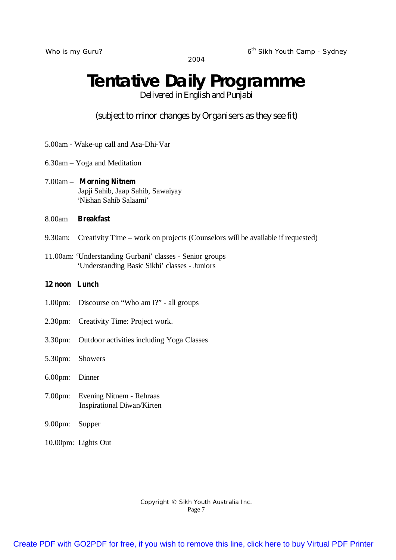*Who is my Guru?* 

*2004*

## **Tentative Daily Programme** *Delivered in English and Punjabi*

*(subject to minor changes by Organisers as they see fit)*

- 5.00am Wake-up call and Asa-Dhi-Var
- 6.30am Yoga and Meditation
- 7.00am **Morning Nitnem** Japji Sahib, Jaap Sahib, Sawaiyay 'Nishan Sahib Salaami'
- 8.00am **Breakfast**
- 9.30am: Creativity Time work on projects (Counselors will be available if requested)
- 11.00am: 'Understanding Gurbani' classes Senior groups 'Understanding Basic Sikhi' classes - Juniors

#### **12 noon Lunch**

- 1.00pm: Discourse on "Who am I?" all groups
- 2.30pm: Creativity Time: Project work.
- 3.30pm: Outdoor activities including Yoga Classes
- 5.30pm: Showers
- 6.00pm: Dinner
- 7.00pm: Evening Nitnem Rehraas Inspirational Diwan/Kirten
- 9.00pm: Supper
- 10.00pm: Lights Out

Copyright © Sikh Youth Australia Inc. Page 7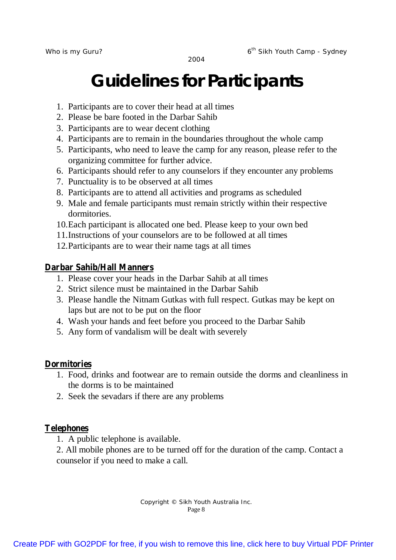## **Guidelines for Participants**

- 1. Participants are to cover their head at all times
- 2. Please be bare footed in the Darbar Sahib
- 3. Participants are to wear decent clothing
- 4. Participants are to remain in the boundaries throughout the whole camp
- 5. Participants, who need to leave the camp for any reason, please refer to the organizing committee for further advice.
- 6. Participants should refer to any counselors if they encounter any problems
- 7. Punctuality is to be observed at all times
- 8. Participants are to attend all activities and programs as scheduled
- 9. Male and female participants must remain strictly within their respective dormitories.
- 10.Each participant is allocated one bed. Please keep to your own bed
- 11.Instructions of your counselors are to be followed at all times
- 12.Participants are to wear their name tags at all times

### **Darbar Sahib/Hall Manners**

- 1. Please cover your heads in the Darbar Sahib at all times
- 2. Strict silence must be maintained in the Darbar Sahib
- 3. Please handle the Nitnam Gutkas with full respect. Gutkas may be kept on laps but are not to be put on the floor
- 4. Wash your hands and feet before you proceed to the Darbar Sahib
- 5. Any form of vandalism will be dealt with severely

### **Dormitories**

- 1. Food, drinks and footwear are to remain outside the dorms and cleanliness in the dorms is to be maintained
- 2. Seek the sevadars if there are any problems

### **Telephones**

1. A public telephone is available.

2. All mobile phones are to be turned off for the duration of the camp. Contact a counselor if you need to make a call.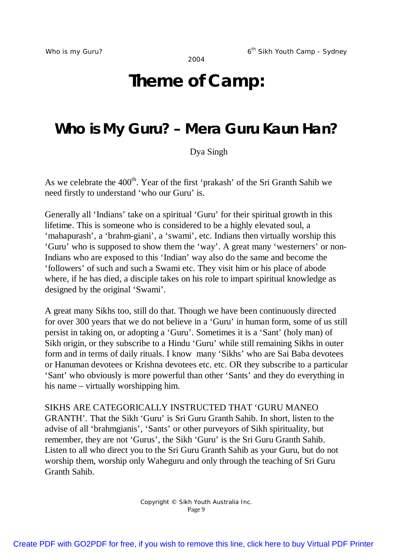## **Theme of Camp:**

## **Who is My Guru? – Mera Guru Kaun Han?**

#### Dya Singh

As we celebrate the 400<sup>th</sup>. Year of the first 'prakash' of the Sri Granth Sahib we need firstly to understand 'who our Guru' is.

Generally all 'Indians' take on a spiritual 'Guru' for their spiritual growth in this lifetime. This is someone who is considered to be a highly elevated soul, a 'mahapurash', a 'brahm-giani', a 'swami', etc. Indians then virtually worship this 'Guru' who is supposed to show them the 'way'. A great many 'westerners' or non-Indians who are exposed to this 'Indian' way also do the same and become the 'followers' of such and such a Swami etc. They visit him or his place of abode where, if he has died, a disciple takes on his role to impart spiritual knowledge as designed by the original 'Swami'.

A great many Sikhs too, still do that. Though we have been continuously directed for over 300 years that we do not believe in a 'Guru' in human form, some of us still persist in taking on, or adopting a 'Guru'. Sometimes it is a 'Sant' (holy man) of Sikh origin, or they subscribe to a Hindu 'Guru' while still remaining Sikhs in outer form and in terms of daily rituals. I know many 'Sikhs' who are Sai Baba devotees or Hanuman devotees or Krishna devotees etc. etc. OR they subscribe to a particular 'Sant' who obviously is more powerful than other 'Sants' and they do everything in his name – virtually worshipping him.

SIKHS ARE CATEGORICALLY INSTRUCTED THAT 'GURU MANEO GRANTH'. That the Sikh 'Guru' is Sri Guru Granth Sahib. In short, listen to the advise of all 'brahmgianis', 'Sants' or other purveyors of Sikh spirituality, but remember, they are not 'Gurus', the Sikh 'Guru' is the Sri Guru Granth Sahib. Listen to all who direct you to the Sri Guru Granth Sahib as your Guru, but do not worship them, worship only Waheguru and only through the teaching of Sri Guru Granth Sahib.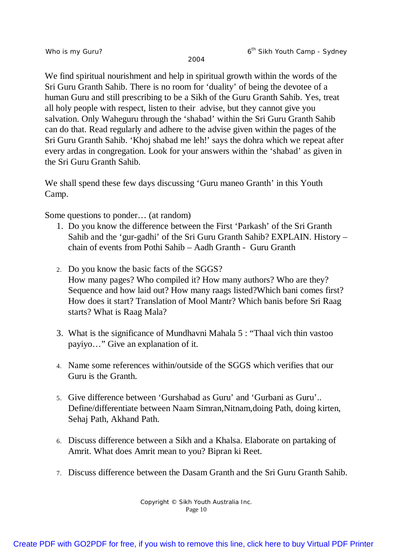We find spiritual nourishment and help in spiritual growth within the words of the Sri Guru Granth Sahib. There is no room for 'duality' of being the devotee of a human Guru and still prescribing to be a Sikh of the Guru Granth Sahib. Yes, treat all holy people with respect, listen to their advise, but they cannot give you salvation. Only Waheguru through the 'shabad' within the Sri Guru Granth Sahib can do that. Read regularly and adhere to the advise given within the pages of the Sri Guru Granth Sahib. 'Khoj shabad me leh!' says the dohra which we repeat after every ardas in congregation. Look for your answers within the 'shabad' as given in the Sri Guru Granth Sahib.

We shall spend these few days discussing 'Guru maneo Granth' in this Youth Camp.

Some questions to ponder… (at random)

- 1. Do you know the difference between the First 'Parkash' of the Sri Granth Sahib and the 'gur-gadhi' of the Sri Guru Granth Sahib? EXPLAIN. History – chain of events from Pothi Sahib – Aadh Granth - Guru Granth
- 2. Do you know the basic facts of the SGGS? How many pages? Who compiled it? How many authors? Who are they? Sequence and how laid out? How many raags listed?Which bani comes first? How does it start? Translation of Mool Mantr? Which banis before Sri Raag starts? What is Raag Mala?
- 3. What is the significance of Mundhavni Mahala 5 : "Thaal vich thin vastoo payiyo…" Give an explanation of it.
- 4. Name some references within/outside of the SGGS which verifies that our Guru is the Granth.
- 5. Give difference between 'Gurshabad as Guru' and 'Gurbani as Guru'.. Define/differentiate between Naam Simran,Nitnam,doing Path, doing kirten, Sehaj Path, Akhand Path.
- 6. Discuss difference between a Sikh and a Khalsa. Elaborate on partaking of Amrit. What does Amrit mean to you? Bipran ki Reet.
- 7. Discuss difference between the Dasam Granth and the Sri Guru Granth Sahib.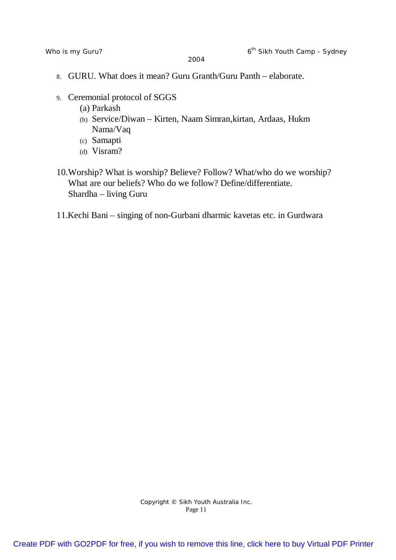- 8. GURU. What does it mean? Guru Granth/Guru Panth elaborate.
- 9. Ceremonial protocol of SGGS
	- (a) Parkash
	- (b) Service/Diwan Kirten, Naam Simran,kirtan, Ardaas, Hukm Nama/Vaq
	- (c) Samapti
	- (d) Visram?
- 10.Worship? What is worship? Believe? Follow? What/who do we worship? What are our beliefs? Who do we follow? Define/differentiate. Shardha – living Guru
- 11.Kechi Bani singing of non-Gurbani dharmic kavetas etc. in Gurdwara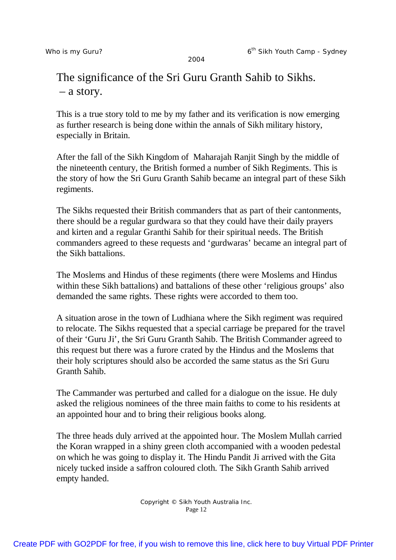## The significance of the Sri Guru Granth Sahib to Sikhs. – a story.

This is a true story told to me by my father and its verification is now emerging as further research is being done within the annals of Sikh military history, especially in Britain.

After the fall of the Sikh Kingdom of Maharajah Ranjit Singh by the middle of the nineteenth century, the British formed a number of Sikh Regiments. This is the story of how the Sri Guru Granth Sahib became an integral part of these Sikh regiments.

The Sikhs requested their British commanders that as part of their cantonments, there should be a regular gurdwara so that they could have their daily prayers and kirten and a regular Granthi Sahib for their spiritual needs. The British commanders agreed to these requests and 'gurdwaras' became an integral part of the Sikh battalions.

The Moslems and Hindus of these regiments (there were Moslems and Hindus within these Sikh battalions) and battalions of these other 'religious groups' also demanded the same rights. These rights were accorded to them too.

A situation arose in the town of Ludhiana where the Sikh regiment was required to relocate. The Sikhs requested that a special carriage be prepared for the travel of their 'Guru Ji', the Sri Guru Granth Sahib. The British Commander agreed to this request but there was a furore crated by the Hindus and the Moslems that their holy scriptures should also be accorded the same status as the Sri Guru Granth Sahib.

The Cammander was perturbed and called for a dialogue on the issue. He duly asked the religious nominees of the three main faiths to come to his residents at an appointed hour and to bring their religious books along.

The three heads duly arrived at the appointed hour. The Moslem Mullah carried the Koran wrapped in a shiny green cloth accompanied with a wooden pedestal on which he was going to display it. The Hindu Pandit Ji arrived with the Gita nicely tucked inside a saffron coloured cloth. The Sikh Granth Sahib arrived empty handed.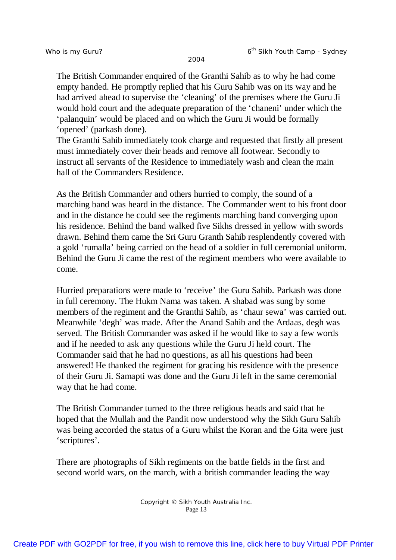The British Commander enquired of the Granthi Sahib as to why he had come empty handed. He promptly replied that his Guru Sahib was on its way and he had arrived ahead to supervise the 'cleaning' of the premises where the Guru Ji would hold court and the adequate preparation of the 'chaneni' under which the 'palanquin' would be placed and on which the Guru Ji would be formally 'opened' (parkash done).

The Granthi Sahib immediately took charge and requested that firstly all present must immediately cover their heads and remove all footwear. Secondly to instruct all servants of the Residence to immediately wash and clean the main hall of the Commanders Residence.

As the British Commander and others hurried to comply, the sound of a marching band was heard in the distance. The Commander went to his front door and in the distance he could see the regiments marching band converging upon his residence. Behind the band walked five Sikhs dressed in yellow with swords drawn. Behind them came the Sri Guru Granth Sahib resplendently covered with a gold 'rumalla' being carried on the head of a soldier in full ceremonial uniform. Behind the Guru Ji came the rest of the regiment members who were available to come.

Hurried preparations were made to 'receive' the Guru Sahib. Parkash was done in full ceremony. The Hukm Nama was taken. A shabad was sung by some members of the regiment and the Granthi Sahib, as 'chaur sewa' was carried out. Meanwhile 'degh' was made. After the Anand Sahib and the Ardaas, degh was served. The British Commander was asked if he would like to say a few words and if he needed to ask any questions while the Guru Ji held court. The Commander said that he had no questions, as all his questions had been answered! He thanked the regiment for gracing his residence with the presence of their Guru Ji. Samapti was done and the Guru Ji left in the same ceremonial way that he had come.

The British Commander turned to the three religious heads and said that he hoped that the Mullah and the Pandit now understood why the Sikh Guru Sahib was being accorded the status of a Guru whilst the Koran and the Gita were just 'scriptures'.

There are photographs of Sikh regiments on the battle fields in the first and second world wars, on the march, with a british commander leading the way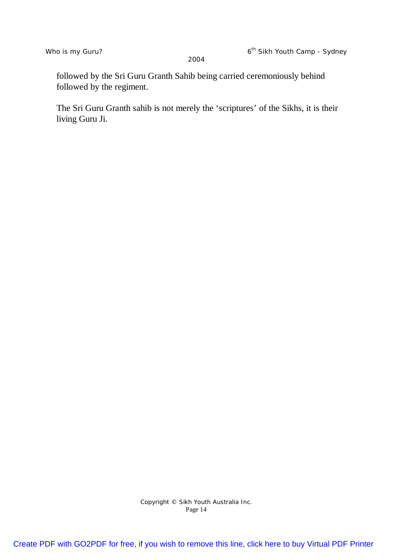*Who is my Guru?* 

*2004*

followed by the Sri Guru Granth Sahib being carried ceremoniously behind followed by the regiment.

The Sri Guru Granth sahib is not merely the 'scriptures' of the Sikhs, it is their living Guru Ji.

> Copyright © Sikh Youth Australia Inc. Page 14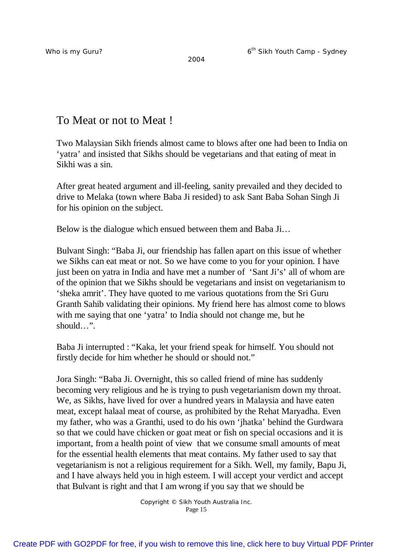## To Meat or not to Meat !

Two Malaysian Sikh friends almost came to blows after one had been to India on 'yatra' and insisted that Sikhs should be vegetarians and that eating of meat in Sikhi was a sin.

After great heated argument and ill-feeling, sanity prevailed and they decided to drive to Melaka (town where Baba Ji resided) to ask Sant Baba Sohan Singh Ji for his opinion on the subject.

Below is the dialogue which ensued between them and Baba Ji…

Bulvant Singh: "Baba Ji, our friendship has fallen apart on this issue of whether we Sikhs can eat meat or not. So we have come to you for your opinion. I have just been on yatra in India and have met a number of 'Sant Ji's' all of whom are of the opinion that we Sikhs should be vegetarians and insist on vegetarianism to 'sheka amrit'. They have quoted to me various quotations from the Sri Guru Granth Sahib validating their opinions. My friend here has almost come to blows with me saying that one 'yatra' to India should not change me, but he should…".

Baba Ji interrupted : "Kaka, let your friend speak for himself. You should not firstly decide for him whether he should or should not."

Jora Singh: "Baba Ji. Overnight, this so called friend of mine has suddenly becoming very religious and he is trying to push vegetarianism down my throat. We, as Sikhs, have lived for over a hundred years in Malaysia and have eaten meat, except halaal meat of course, as prohibited by the Rehat Maryadha. Even my father, who was a Granthi, used to do his own 'jhatka' behind the Gurdwara so that we could have chicken or goat meat or fish on special occasions and it is important, from a health point of view that we consume small amounts of meat for the essential health elements that meat contains. My father used to say that vegetarianism is not a religious requirement for a Sikh. Well, my family, Bapu Ji, and I have always held you in high esteem. I will accept your verdict and accept that Bulvant is right and that I am wrong if you say that we should be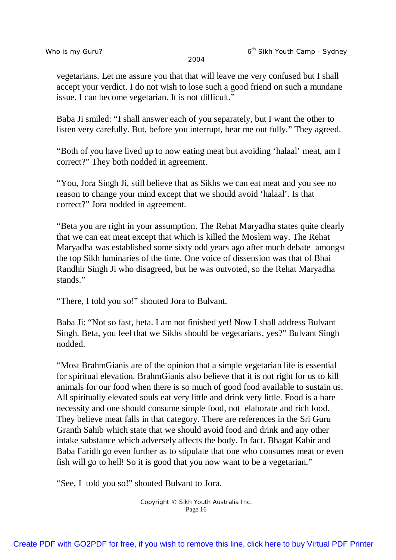vegetarians. Let me assure you that that will leave me very confused but I shall accept your verdict. I do not wish to lose such a good friend on such a mundane issue. I can become vegetarian. It is not difficult."

Baba Ji smiled: "I shall answer each of you separately, but I want the other to listen very carefully. But, before you interrupt, hear me out fully." They agreed.

"Both of you have lived up to now eating meat but avoiding 'halaal' meat, am I correct?" They both nodded in agreement.

"You, Jora Singh Ji, still believe that as Sikhs we can eat meat and you see no reason to change your mind except that we should avoid 'halaal'. Is that correct?" Jora nodded in agreement.

"Beta you are right in your assumption. The Rehat Maryadha states quite clearly that we can eat meat except that which is killed the Moslem way. The Rehat Maryadha was established some sixty odd years ago after much debate amongst the top Sikh luminaries of the time. One voice of dissension was that of Bhai Randhir Singh Ji who disagreed, but he was outvoted, so the Rehat Maryadha stands."

"There, I told you so!" shouted Jora to Bulvant.

Baba Ji: "Not so fast, beta. I am not finished yet! Now I shall address Bulvant Singh. Beta, you feel that we Sikhs should be vegetarians, yes?" Bulvant Singh nodded.

"Most BrahmGianis are of the opinion that a simple vegetarian life is essential for spiritual elevation. BrahmGianis also believe that it is not right for us to kill animals for our food when there is so much of good food available to sustain us. All spiritually elevated souls eat very little and drink very little. Food is a bare necessity and one should consume simple food, not elaborate and rich food. They believe meat falls in that category. There are references in the Sri Guru Granth Sahib which state that we should avoid food and drink and any other intake substance which adversely affects the body. In fact. Bhagat Kabir and Baba Faridh go even further as to stipulate that one who consumes meat or even fish will go to hell! So it is good that you now want to be a vegetarian."

"See, I told you so!" shouted Bulvant to Jora.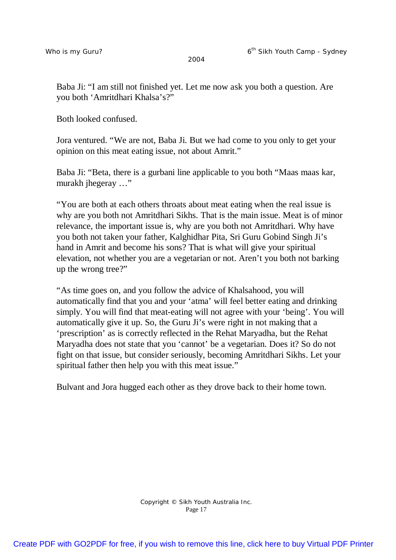Baba Ji: "I am still not finished yet. Let me now ask you both a question. Are you both 'Amritdhari Khalsa's?"

*2004*

Both looked confused.

Jora ventured. "We are not, Baba Ji. But we had come to you only to get your opinion on this meat eating issue, not about Amrit."

Baba Ji: "Beta, there is a gurbani line applicable to you both "Maas maas kar, murakh jhegeray …"

"You are both at each others throats about meat eating when the real issue is why are you both not Amritdhari Sikhs. That is the main issue. Meat is of minor relevance, the important issue is, why are you both not Amritdhari. Why have you both not taken your father, Kalghidhar Pita, Sri Guru Gobind Singh Ji's hand in Amrit and become his sons? That is what will give your spiritual elevation, not whether you are a vegetarian or not. Aren't you both not barking up the wrong tree?"

"As time goes on, and you follow the advice of Khalsahood, you will automatically find that you and your 'atma' will feel better eating and drinking simply. You will find that meat-eating will not agree with your 'being'. You will automatically give it up. So, the Guru Ji's were right in not making that a 'prescription' as is correctly reflected in the Rehat Maryadha, but the Rehat Maryadha does not state that you 'cannot' be a vegetarian. Does it? So do not fight on that issue, but consider seriously, becoming Amritdhari Sikhs. Let your spiritual father then help you with this meat issue."

Bulvant and Jora hugged each other as they drove back to their home town.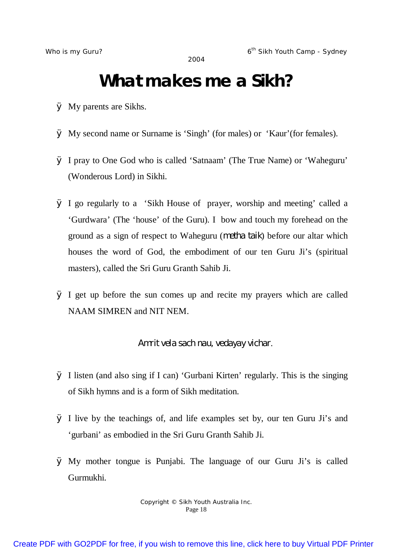## **What makes me a Sikh?**

- Ø My parents are Sikhs.
- Ø My second name or Surname is 'Singh' (for males) or 'Kaur'(for females).
- Ø I pray to One God who is called 'Satnaam' (The True Name) or 'Waheguru' (Wonderous Lord) in Sikhi.
- Ø I go regularly to a 'Sikh House of prayer, worship and meeting' called a 'Gurdwara' (The 'house' of the Guru). I bow and touch my forehead on the ground as a sign of respect to Waheguru (*metha taik*) before our altar which houses the word of God, the embodiment of our ten Guru Ji's (spiritual masters), called the Sri Guru Granth Sahib Ji.
- Ø I get up before the sun comes up and recite my prayers which are called NAAM SIMREN and NIT NEM.

*Amrit vela sach nau, vedayay vichar*.

- Ø I listen (and also sing if I can) 'Gurbani Kirten' regularly. This is the singing of Sikh hymns and is a form of Sikh meditation.
- Ø I live by the teachings of, and life examples set by, our ten Guru Ji's and 'gurbani' as embodied in the Sri Guru Granth Sahib Ji.
- Ø My mother tongue is Punjabi. The language of our Guru Ji's is called Gurmukhi.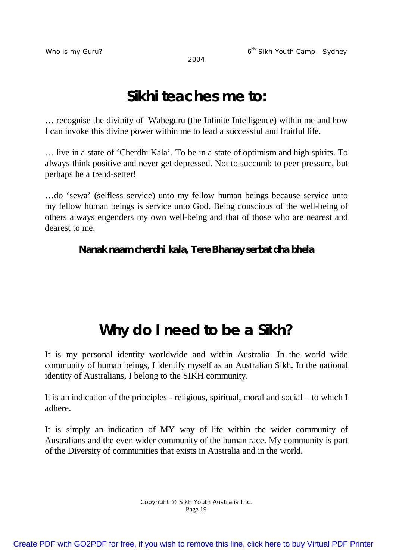## **Sikhi teaches me to:**

… recognise the divinity of Waheguru (the Infinite Intelligence) within me and how I can invoke this divine power within me to lead a successful and fruitful life.

… live in a state of 'Cherdhi Kala'. To be in a state of optimism and high spirits. To always think positive and never get depressed. Not to succumb to peer pressure, but perhaps be a trend-setter!

…do 'sewa' (selfless service) unto my fellow human beings because service unto my fellow human beings is service unto God. Being conscious of the well-being of others always engenders my own well-being and that of those who are nearest and dearest to me.

### *Nanak naam cherdhi kala, Tere Bhanay serbat dha bhela*

## **Why do I need to be a Sikh?**

It is my personal identity worldwide and within Australia. In the world wide community of human beings, I identify myself as an Australian Sikh. In the national identity of Australians, I belong to the SIKH community.

It is an indication of the principles - religious, spiritual, moral and social – to which I adhere.

It is simply an indication of MY way of life within the wider community of Australians and the even wider community of the human race. My community is part of the Diversity of communities that exists in Australia and in the world.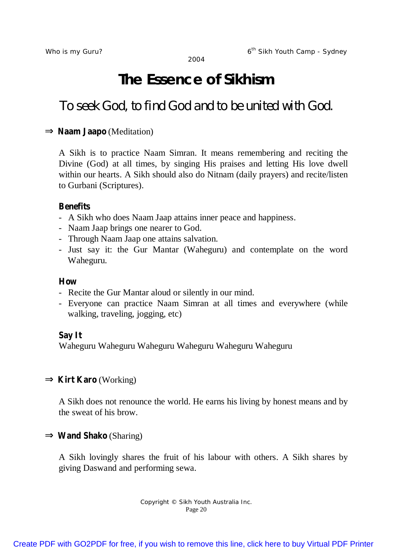## **The Essence of Sikhism**

## *To seek God, to find God and to be united with God.*

### ⇒ **Naam Jaapo** (Meditation)

A Sikh is to practice Naam Simran. It means remembering and reciting the Divine (God) at all times, by singing His praises and letting His love dwell within our hearts. A Sikh should also do Nitnam (daily prayers) and recite/listen to Gurbani (Scriptures).

### **Benefits**

- A Sikh who does Naam Jaap attains inner peace and happiness.
- Naam Jaap brings one nearer to God.
- Through Naam Jaap one attains salvation.
- Just say it: the Gur Mantar (Waheguru) and contemplate on the word Waheguru.

### **How**

- Recite the Gur Mantar aloud or silently in our mind.
- Everyone can practice Naam Simran at all times and everywhere (while walking, traveling, jogging, etc)

### **Say It**

Waheguru Waheguru Waheguru Waheguru Waheguru Waheguru

### ⇒ **Kirt Karo** (Working)

A Sikh does not renounce the world. He earns his living by honest means and by the sweat of his brow.

### ⇒ **Wand Shako** (Sharing)

A Sikh lovingly shares the fruit of his labour with others. A Sikh shares by giving Daswand and performing sewa.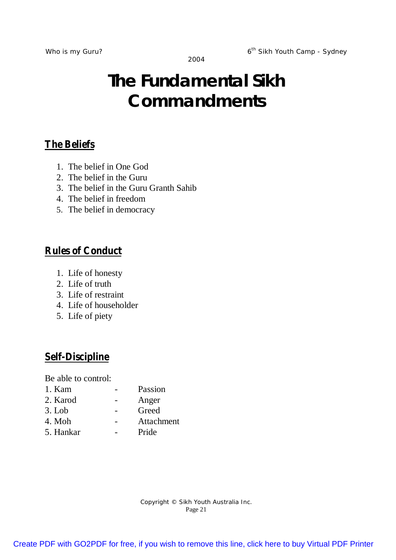## **The Fundamental Sikh Commandments**

### **The Beliefs**

- 1. The belief in One God
- 2. The belief in the Guru
- 3. The belief in the Guru Granth Sahib
- 4. The belief in freedom
- 5. The belief in democracy

### **Rules of Conduct**

- 1. Life of honesty
- 2. Life of truth
- 3. Life of restraint
- 4. Life of householder
- 5. Life of piety

### **Self-Discipline**

Be able to control:

- 1. Kam Passion
- 2. Karod Anger
- 3. Lob Greed
- 4. Moh Attachment
- 5. Hankar Pride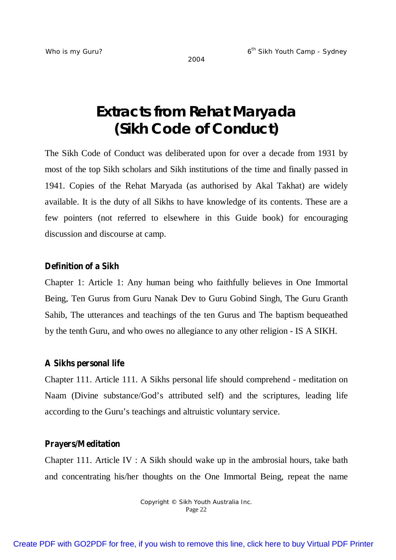## **Extracts from Rehat Maryada (***Sikh Code of Conduct***)**

The Sikh Code of Conduct was deliberated upon for over a decade from 1931 by most of the top Sikh scholars and Sikh institutions of the time and finally passed in 1941. Copies of the Rehat Maryada (as authorised by Akal Takhat) are widely available. It is the duty of all Sikhs to have knowledge of its contents. These are a few pointers (not referred to elsewhere in this Guide book) for encouraging discussion and discourse at camp.

#### **Definition of a Sikh**

Chapter 1: Article 1: Any human being who faithfully believes in One Immortal Being, Ten Gurus from Guru Nanak Dev to Guru Gobind Singh, The Guru Granth Sahib, The utterances and teachings of the ten Gurus and The baptism bequeathed by the tenth Guru, and who owes no allegiance to any other religion - IS A SIKH.

#### **A Sikhs personal life**

Chapter 111. Article 111. A Sikhs personal life should comprehend - meditation on Naam (Divine substance/God's attributed self) and the scriptures, leading life according to the Guru's teachings and altruistic voluntary service.

#### **Prayers/Meditation**

Chapter 111. Article IV : A Sikh should wake up in the ambrosial hours, take bath and concentrating his/her thoughts on the One Immortal Being, repeat the name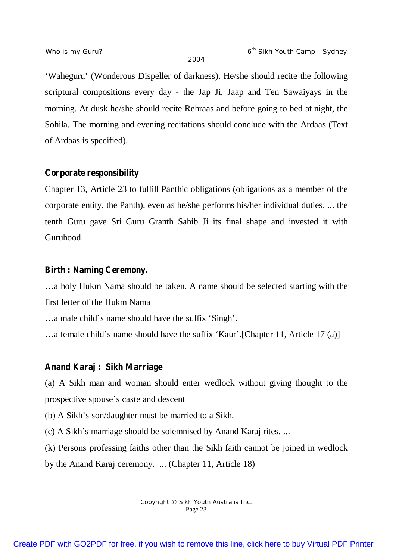'Waheguru' (Wonderous Dispeller of darkness). He/she should recite the following scriptural compositions every day - the Jap Ji, Jaap and Ten Sawaiyays in the morning. At dusk he/she should recite Rehraas and before going to bed at night, the Sohila. The morning and evening recitations should conclude with the Ardaas (Text of Ardaas is specified).

#### **Corporate responsibility**

Chapter 13, Article 23 to fulfill Panthic obligations (obligations as a member of the corporate entity, the Panth), even as he/she performs his/her individual duties. ... the tenth Guru gave Sri Guru Granth Sahib Ji its final shape and invested it with Guruhood.

#### **Birth : Naming Ceremony.**

…a holy Hukm Nama should be taken. A name should be selected starting with the first letter of the Hukm Nama

…a male child's name should have the suffix 'Singh'.

…a female child's name should have the suffix 'Kaur'.[Chapter 11, Article 17 (a)]

#### **Anand Karaj : Sikh Marriage**

(a) A Sikh man and woman should enter wedlock without giving thought to the prospective spouse's caste and descent

(b) A Sikh's son/daughter must be married to a Sikh.

(c) A Sikh's marriage should be solemnised by Anand Karaj rites. ...

(k) Persons professing faiths other than the Sikh faith cannot be joined in wedlock by the Anand Karaj ceremony. ... (Chapter 11, Article 18)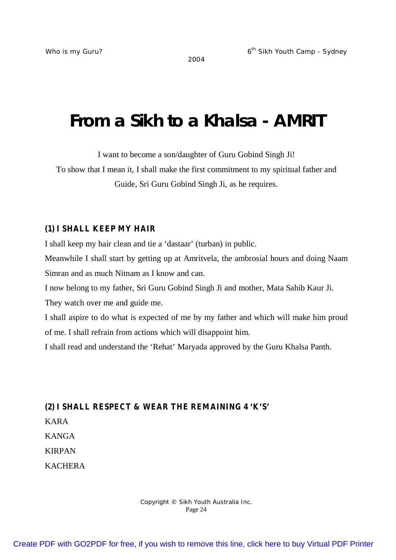## **From a Sikh to a Khalsa - AMRIT**

I want to become a son/daughter of Guru Gobind Singh Ji!

To show that I mean it, I shall make the first commitment to my spiritual father and Guide, Sri Guru Gobind Singh Ji, as he requires.

#### **(1) I SHALL KEEP MY HAIR**

I shall keep my hair clean and tie a 'dastaar' (turban) in public.

Meanwhile I shall start by getting up at Amritvela, the ambrosial hours and doing Naam Simran and as much Nitnam as I know and can.

I now belong to my father, Sri Guru Gobind Singh Ji and mother, Mata Sahib Kaur Ji.

They watch over me and guide me.

I shall aspire to do what is expected of me by my father and which will make him proud of me. I shall refrain from actions which will disappoint him.

I shall read and understand the 'Rehat' Maryada approved by the Guru Khalsa Panth.

## **(2) I SHALL RESPECT & WEAR THE REMAINING 4 'K'S'** KARA KANGA KIRPAN **KACHERA**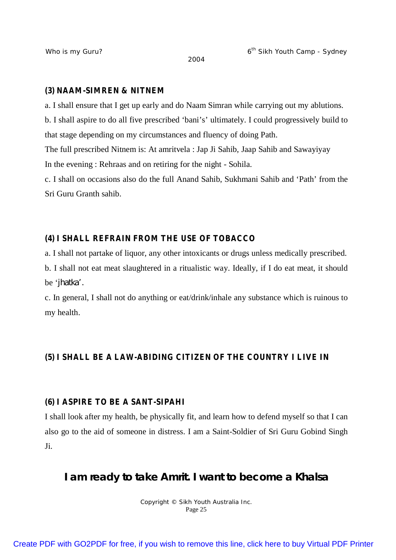#### **(3) NAAM-SIMREN & NITNEM**

a. I shall ensure that I get up early and do Naam Simran while carrying out my ablutions. b. I shall aspire to do all five prescribed 'bani's' ultimately. I could progressively build to that stage depending on my circumstances and fluency of doing Path.

*2004*

The full prescribed Nitnem is: At amritvela : Jap Ji Sahib, Jaap Sahib and Sawayiyay In the evening : Rehraas and on retiring for the night - Sohila.

c. I shall on occasions also do the full Anand Sahib, Sukhmani Sahib and 'Path' from the Sri Guru Granth sahib.

#### **(4) I SHALL REFRAIN FROM THE USE OF TOBACCO**

a. I shall not partake of liquor, any other intoxicants or drugs unless medically prescribed.

b. I shall not eat meat slaughtered in a ritualistic way. Ideally, if I do eat meat, it should be '*jhatka'.*

c. In general, I shall not do anything or eat/drink/inhale any substance which is ruinous to my health.

#### **(5) I SHALL BE A LAW-ABIDING CITIZEN OF THE COUNTRY I LIVE IN**

#### **(6) I ASPIRE TO BE A SANT-SIPAHI**

I shall look after my health, be physically fit, and learn how to defend myself so that I can also go to the aid of someone in distress. I am a Saint-Soldier of Sri Guru Gobind Singh Ji.

**I am ready to take Amrit. I want to become a Khalsa**

Copyright © Sikh Youth Australia Inc. Page 25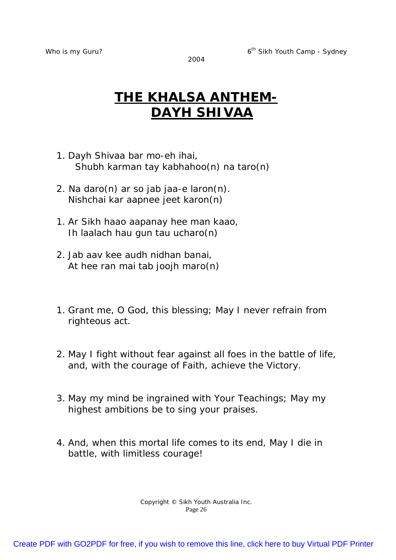*th Sikh Youth Camp - Sydney*

*2004*

## **THE KHALSA ANTHEM-DAYH SHIVAA**

- 1. Dayh Shivaa bar mo-eh ihai, Shubh karman tay kabhahoo(n) na taro(n)
- 2. Na daro(n) ar so jab jaa-e laron(n). Nishchai kar aapnee jeet karon(n)
- 1. Ar Sikh haao aapanay hee man kaao, Ih laalach hau gun tau ucharo(n)
- 2. Jab aav kee audh nidhan banai, At hee ran mai tab joojh maro(n)
- 1. *Grant me, O God, this blessing; May I never refrain from righteous act.*
- 2. *May I fight without fear against all foes in the battle of life, and, with the courage of Faith, achieve the Victory.*
- 3. *May my mind be ingrained with Your Teachings; May my highest ambitions be to sing your praises.*
- 4. *And, when this mortal life comes to its end, May I die in battle, with limitless courage!*

Copyright © Sikh Youth Australia Inc. Page 26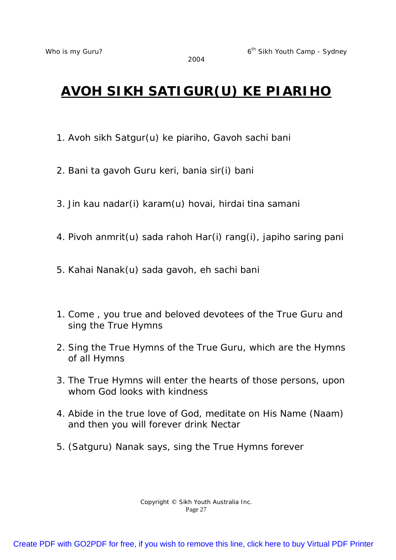## **AVOH SIKH SATIGUR(U) KE PIARIHO**

- 1. Avoh sikh Satgur(u) ke piariho, Gavoh sachi bani
- 2. Bani ta gavoh Guru keri, bania sir(i) bani
- 3. Jin kau nadar(i) karam(u) hovai, hirdai tina samani
- 4. Pivoh anmrit(u) sada rahoh Har(i) rang(i), japiho saring pani
- 5. Kahai Nanak(u) sada gavoh, eh sachi bani
- *1. Come , you true and beloved devotees of the True Guru and sing the True Hymns*
- *2. Sing the True Hymns of the True Guru, which are the Hymns of all Hymns*
- *3. The True Hymns will enter the hearts of those persons, upon whom God looks with kindness*
- *4. Abide in the true love of God, meditate on His Name (Naam) and then you will forever drink Nectar*
- 5. *(Satguru) Nanak says, sing the True Hymns forever*

Copyright © Sikh Youth Australia Inc. Page 27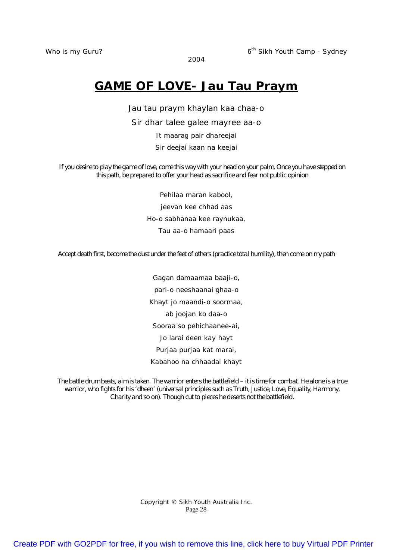## **GAME OF LOVE- Jau Tau Praym**

Jau tau praym khaylan kaa chaa-o Sir dhar talee galee mayree aa-o It maarag pair dhareejai *Sir deejai kaan na keejai*

#### If you desire to play the game of love, come this way with your head on your palm, Once you have stepped on *this path, be prepared to offer your head as sacrifice and fear not public opinion*

Pehilaa maran kabool, jeevan kee chhad aas Ho-o sabhanaa kee raynukaa, Tau aa-o hamaari paas

Accept death first, become the dust under the feet of others (practice total humility), then come on my path

Gagan damaamaa baaji-o, pari-o neeshaanai ghaa-o Khayt jo maandi-o soormaa, ab joojan ko daa-o Sooraa so pehichaanee-ai, Jo larai deen kay hayt Purjaa purjaa kat marai, Kabahoo na chhaadai khayt

The battle drum beats, aim is taken. The warrior enters the battlefield - it is time for combat. He alone is a true *warrior, who fights for his 'dheen' (universal principles such as Truth, Justice, Love, Equality, Harmony, Charity and so on). Though cut to pieces he deserts not the battlefield.*

> Copyright © Sikh Youth Australia Inc. Page 28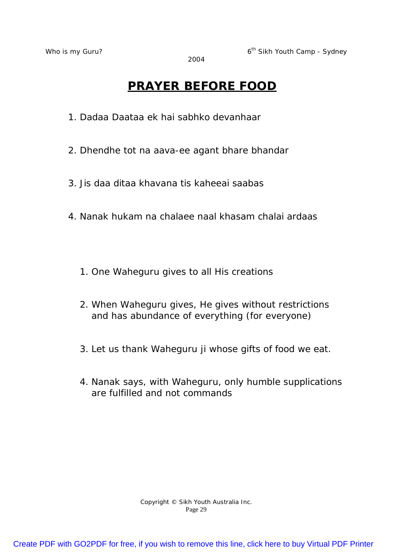## **PRAYER BEFORE FOOD**

- 1. Dadaa Daataa ek hai sabhko devanhaar
- 2. Dhendhe tot na aava-ee agant bhare bhandar
- 3. Jis daa ditaa khavana tis kaheeai saabas
- 4. Nanak hukam na chalaee naal khasam chalai ardaas
	- *1. One Waheguru gives to all His creations*
	- *2. When Waheguru gives, He gives without restrictions and has abundance of everything (for everyone)*
	- *3. Let us thank Waheguru ji whose gifts of food we eat.*
	- *4. Nanak says, with Waheguru, only humble supplications are fulfilled and not commands*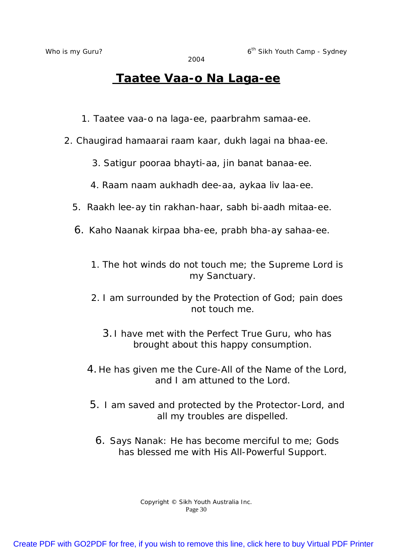## **Taatee Vaa-o Na Laga-ee**

- 1. Taatee vaa-o na laga-ee, paarbrahm samaa-ee.
- 2. Chaugirad hamaarai raam kaar, dukh lagai na bhaa-ee.
	- 3. Satigur pooraa bhayti-aa, jin banat banaa-ee.
	- 4. Raam naam aukhadh dee-aa, aykaa liv laa-ee.
	- 5. Raakh lee-ay tin rakhan-haar, sabh bi-aadh mitaa-ee.
	- 6. Kaho Naanak kirpaa bha-ee, prabh bha-ay sahaa-ee.
		- *1. The hot winds do not touch me; the Supreme Lord is my Sanctuary.*
		- *2. I am surrounded by the Protection of God; pain does not touch me.*
			- *3. I have met with the Perfect True Guru, who has brought about this happy consumption.*
		- *4.He has given me the Cure-All of the Name of the Lord, and I am attuned to the Lord.*
		- *5. I am saved and protected by the Protector-Lord, and all my troubles are dispelled.*
			- *6. Says Nanak: He has become merciful to me; Gods has blessed me with His All-Powerful Support.*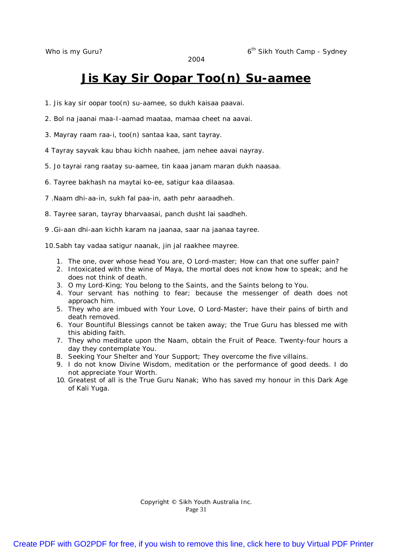## **Jis Kay Sir Oopar Too(n) Su-aamee**

- 1. Jis kay sir oopar too(n) su-aamee, so dukh kaisaa paavai.
- 2. Bol na jaanai maa-I-aamad maataa, mamaa cheet na aavai.
- 3. Mayray raam raa-i, too(n) santaa kaa, sant tayray.
- 4 Tayray sayvak kau bhau kichh naahee, jam nehee aavai nayray.
- 5. Jo tayrai rang raatay su-aamee, tin kaaa janam maran dukh naasaa.
- 6. Tayree bakhash na maytai ko-ee, satigur kaa dilaasaa.
- 7 .Naam dhi-aa-in, sukh fal paa-in, aath pehr aaraadheh.
- 8. Tayree saran, tayray bharvaasai, panch dusht lai saadheh.
- 9 .Gi-aan dhi-aan kichh karam na jaanaa, saar na jaanaa tayree.

10.Sabh tay vadaa satigur naanak, jin jal raakhee mayree.

- *1. The one, over whose head You are, O Lord-master; How can that one suffer pain?*
- *2. Intoxicated with the wine of Maya, the mortal does not know how to speak; and he does not think of death.*
- *3. O my Lord-King; You belong to the Saints, and the Saints belong to You.*
- *4. Your servant has nothing to fear; because the messenger of death does not approach him.*
- *5. They who are imbued with Your Love, O Lord-Master; have their pains of birth and death removed.*
- *6. Your Bountiful Blessings cannot be taken away; the True Guru has blessed me with this abiding faith.*
- *7. They who meditate upon the Naam, obtain the Fruit of Peace. Twenty-four hours a day they contemplate You.*
- *8. Seeking Your Shelter and Your Support; They overcome the five villains.*
- *9. I do not know Divine Wisdom, meditation or the performance of good deeds. I do not appreciate Your Worth.*
- *10. Greatest of all is the True Guru Nanak; Who has saved my honour in this Dark Age of Kali Yuga.*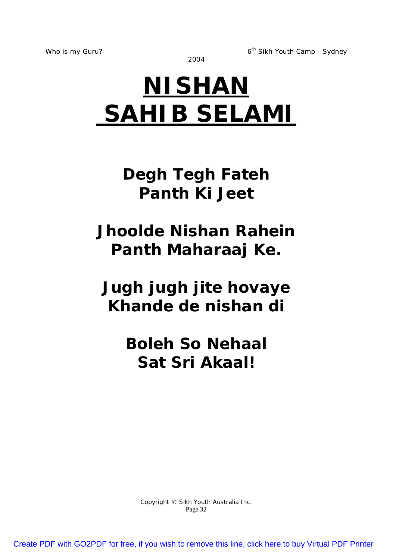# **NISHAN**  $HIB$  **SELAMI**

**Degh Tegh Fateh Panth Ki Jeet**

**Jhoolde Nishan Rahein Panth Maharaaj Ke.**

**Jugh jugh jite hovaye Khande de nishan di**

> **Boleh So Nehaal Sat Sri Akaal!**

Copyright © Sikh Youth Australia Inc. Page 32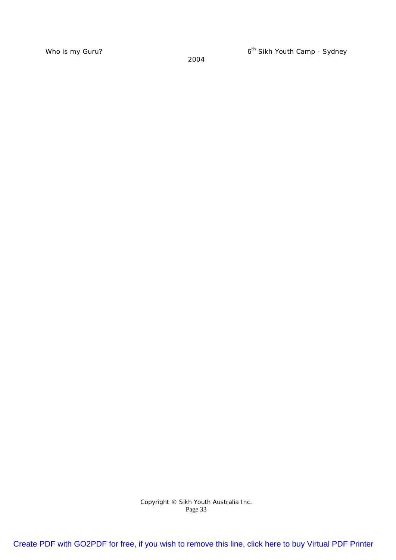*Who is my Guru?* 

*2004*

Copyright © Sikh Youth Australia Inc. Page 33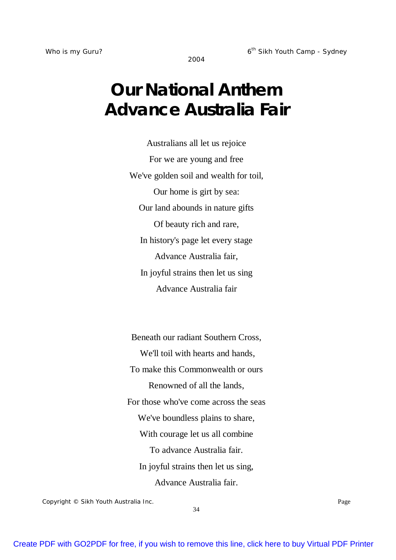## **Our National Anthem Advance Australia Fair**

Australians all let us rejoice For we are young and free We've golden soil and wealth for toil, Our home is girt by sea: Our land abounds in nature gifts Of beauty rich and rare, In history's page let every stage Advance Australia fair, In joyful strains then let us sing Advance Australia fair

Beneath our radiant Southern Cross, We'll toil with hearts and hands, To make this Commonwealth or ours Renowned of all the lands, For those who've come across the seas We've boundless plains to share, With courage let us all combine To advance Australia fair. In joyful strains then let us sing, Advance Australia fair.

Copyright © Sikh Youth Australia Inc. Page Page 2014 12:30 and 2014 12:30 and 2014 12:30 and 2014 12:30 and 2014 12:30 and 2014 12:30 and 2014 12:30 and 2014 12:30 and 2014 12:30 and 2014 12:30 and 2014 12:30 and 2014 12:3

34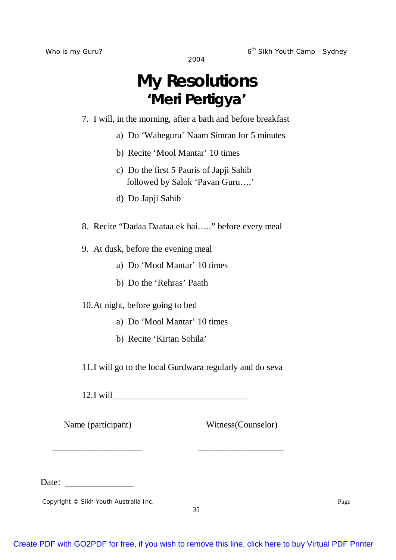## **My Resolutions 'Meri Pertigya'**

7. I will, in the morning, after a bath and before breakfast

- a) Do 'Waheguru' Naam Simran for 5 minutes
- b) Recite 'Mool Mantar' 10 times
- c) Do the first 5 Pauris of Japji Sahib followed by Salok 'Pavan Guru….'
- d) Do Japji Sahib
- 8. Recite "Dadaa Daataa ek hai….." before every meal
- 9. At dusk, before the evening meal
	- a) Do 'Mool Mantar' 10 times
	- b) Do the 'Rehras' Paath

### 10.At night, before going to bed

- a) Do 'Mool Mantar' 10 times
- b) Recite 'Kirtan Sohila'

11.I will go to the local Gurdwara regularly and do seva

12.I will\_\_\_\_\_\_\_\_\_\_\_\_\_\_\_\_\_\_\_\_\_\_\_\_\_\_\_\_\_\_

\_\_\_\_\_\_\_\_\_\_\_\_\_\_\_\_\_\_\_\_ \_\_\_\_\_\_\_\_\_\_\_\_\_\_\_\_\_\_\_

Name (participant) Witness (Counselor)

Date: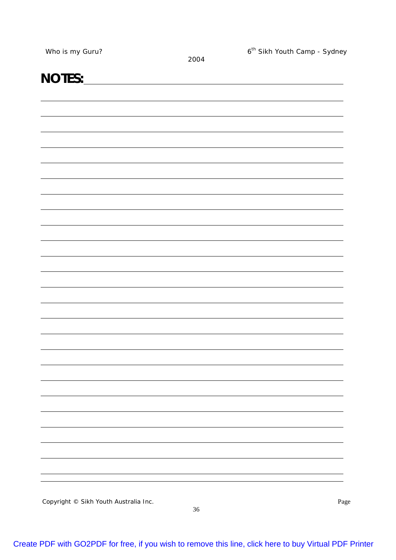| Who is my Guru?                       | 2004 | $6^{th}$ Sikh Youth Camp - Sydney |
|---------------------------------------|------|-----------------------------------|
|                                       |      |                                   |
|                                       |      |                                   |
|                                       |      |                                   |
|                                       |      |                                   |
|                                       |      |                                   |
|                                       |      |                                   |
|                                       |      |                                   |
|                                       |      |                                   |
|                                       |      |                                   |
|                                       |      |                                   |
|                                       |      |                                   |
|                                       |      |                                   |
|                                       |      |                                   |
|                                       |      |                                   |
|                                       |      |                                   |
|                                       |      |                                   |
|                                       |      |                                   |
|                                       |      |                                   |
|                                       |      |                                   |
|                                       |      |                                   |
|                                       |      |                                   |
|                                       |      |                                   |
| Copyright © Sikh Youth Australia Inc. | 36   | Page                              |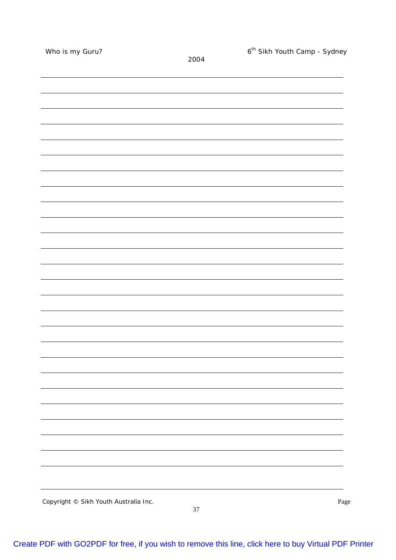| Who is my Guru?                       | 2004 | $6^{th}$ Sikh Youth Camp - Sydney |
|---------------------------------------|------|-----------------------------------|
|                                       |      |                                   |
|                                       |      |                                   |
|                                       |      |                                   |
|                                       |      |                                   |
|                                       |      |                                   |
|                                       |      |                                   |
|                                       |      |                                   |
|                                       |      |                                   |
|                                       |      |                                   |
|                                       |      |                                   |
|                                       |      |                                   |
|                                       |      |                                   |
|                                       |      |                                   |
|                                       |      |                                   |
|                                       |      |                                   |
|                                       |      |                                   |
|                                       |      |                                   |
|                                       |      |                                   |
| Copyright © Sikh Youth Australia Inc. | 37   | Page                              |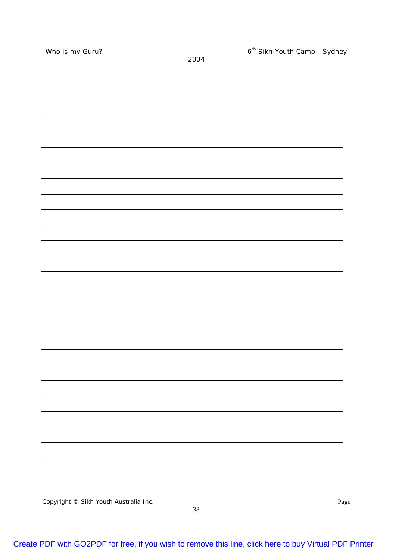| Who is my Guru? |  |
|-----------------|--|
|-----------------|--|

Copyright © Sikh Youth Australia Inc. Page 2014 12:30 Page

38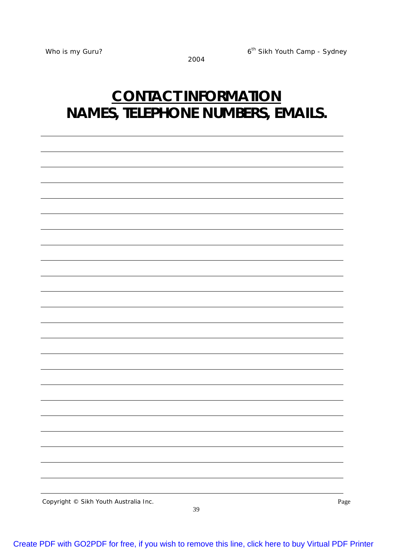## **CONTACT INFORMATION NAMES, TELEPHONE NUMBERS, EMAILS.**

| Copyright © Sikh Youth Australia Inc. |    | Page |
|---------------------------------------|----|------|
|                                       | 39 |      |